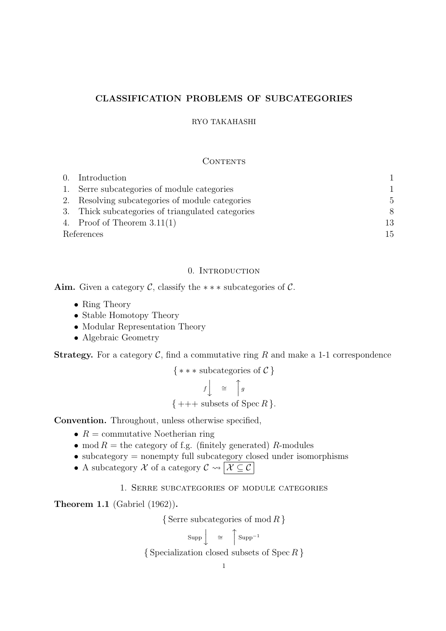## **CLASSIFICATION PROBLEMS OF SUBCATEGORIES**

### RYO TAKAHASHI

### **CONTENTS**

|            | 0. Introduction                                   |                |
|------------|---------------------------------------------------|----------------|
|            | 1. Serre subcategories of module categories       | 1              |
|            | 2. Resolving subcategories of module categories   | $\overline{5}$ |
|            | 3. Thick subcategories of triangulated categories | 8              |
|            | 4. Proof of Theorem $3.11(1)$                     | 13             |
| References |                                                   | 15             |

### 0. INTRODUCTION

**Aim.** Given a category *C*, classify the *∗ ∗ ∗* subcategories of *C*.

- *•* Ring Theory
- Stable Homotopy Theory
- *•* Modular Representation Theory
- *•* Algebraic Geometry

**Strategy.** For a category  $C$ , find a commutative ring  $R$  and make a 1-1 correspondence

$$
\{***\,\text{subcategories of }\mathcal{C}\}
$$

$$
f \downarrow \cong |g|
$$
  

$$
\{ +++ \text{ subsets of } \operatorname{Spec} R \}.
$$

**Convention.** Throughout, unless otherwise specified,

- $R =$  commutative Noetherian ring
- mod  $R =$  the category of f.g. (finitely generated)  $R$ -modules
- subcategory = nonempty full subcategory closed under isomorphisms
- A subcategory  $\mathcal X$  of a category  $\mathcal C \leadsto \boxed{\mathcal X \subseteq \mathcal C}$

1. Serre subcategories of module categories

**Theorem 1.1** (Gabriel (1962))**.**

*{* Serre subcategories of mod *R }*

$$
Supp \left\downarrow \quad \cong \quad \left\uparrow \text{Supp}^{-1} \right.
$$

*{* Specialization closed subsets of Spec *R }*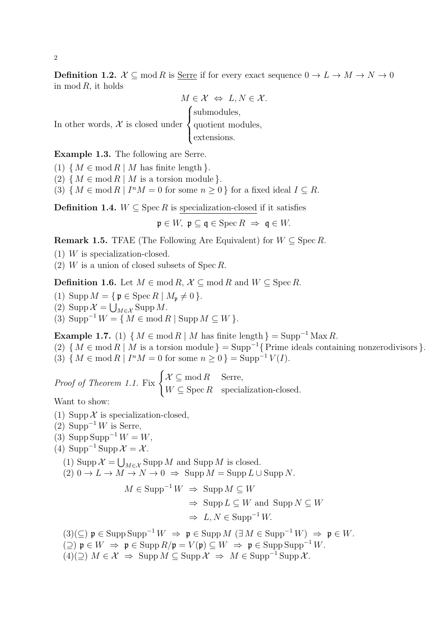**Definition 1.2.**  $\mathcal{X} \subseteq \text{mod } R$  is <u>Serre</u> if for every exact sequence  $0 \to L \to M \to N \to 0$ in mod  $R$ , it holds

$$
M \in \mathcal{X} \iff L, N \in \mathcal{X}.
$$
  
In other words,  $\mathcal{X}$  is closed under  
quotient modules,  
extensions.

**Example 1.3.** The following are Serre.

(1)  ${M \in \text{mod } R \mid M \text{ has finite length }}$ .

(2)  ${M \in \text{mod } R \mid M \text{ is a torsion module}}$ .

(3)  $\{ M \in \text{mod } R \mid I^n M = 0 \text{ for some } n \ge 0 \}$  for a fixed ideal  $I \subseteq R$ .

**Definition 1.4.**  $W \subseteq \text{Spec } R$  is specialization-closed if it satisfies

 $\mathfrak{p} \in W$ ,  $\mathfrak{p} \subseteq \mathfrak{q} \in \text{Spec } R \Rightarrow \mathfrak{q} \in W$ .

**Remark 1.5.** TFAE (The Following Are Equivalent) for  $W \subseteq \text{Spec } R$ .

(1) *W* is specialization-closed.

(2) *W* is a union of closed subsets of Spec *R*.

**Definition 1.6.** Let *M* ∈ mod *R*,  $\mathcal{X} \subseteq \text{mod } R$  and  $W \subseteq \text{Spec } R$ .

- (1) Supp  $M = \{ \mathfrak{p} \in \text{Spec } R \mid M_{\mathfrak{p}} \neq 0 \}.$
- (2) Supp  $\mathcal{X} = \bigcup_{M \in \mathcal{X}} \text{Supp } M$ .

 $(3)$  Supp<sup> $-1$ </sup>  $W = \{ M \in \text{mod } R \mid \text{Supp } M \subseteq W \}.$ 

**Example 1.7.** (1)  $\{M \in \text{mod } R \mid M \text{ has finite length }\} = \text{Supp}^{-1} \text{Max } R.$ 

(2)  ${M \in \text{mod } R \mid M \text{ is a torsion module}} = \text{Supp}^{-1}\{\text{Prime ideals containing nonzerodivisors}}.$  $(3) \{ M \in \text{mod } R \mid I^n M = 0 \text{ for some } n \ge 0 \} = \text{Supp}^{-1} V(I).$ 

*Proof of Theorem 1.1.* Fix  $\begin{cases} \mathcal{X} \subseteq \text{mod } R \\ W \subseteq R \end{cases}$  Serre,  $W \subseteq \operatorname{Spec} R$  specialization-closed.

Want to show:

- (1) Supp  $\mathcal X$  is specialization-closed,
- (2) Supp*−*<sup>1</sup> *W* is Serre,
- $(3)$  Supp Supp<sup>-1</sup>  $W = W$ ,
- (4) Supp*−*<sup>1</sup> Supp *X* = *X* .
	- (1) Supp  $\mathcal{X} = \bigcup_{M \in \mathcal{X}} \text{Supp } M$  and Supp *M* is closed.
	- $(2)$   $0 \rightarrow L \rightarrow M \rightarrow N \rightarrow 0 \Rightarrow$  Supp  $M = \text{Supp } L \cup \text{Supp } N$ .

 $M \in \text{Supp}^{-1} W \Rightarrow \text{Supp} M \subseteq W$ *⇒* Supp *L ⊆ W* and Supp *N ⊆ W ⇒ L, N ∈* Supp*−*<sup>1</sup> *W.*

 $(3)(\subseteq)$   $\mathfrak{p} \in \text{Supp} \operatorname{Supp}^{-1} W \Rightarrow \mathfrak{p} \in \text{Supp} M (\exists M \in \text{Supp}^{-1} W) \Rightarrow \mathfrak{p} \in W.$ 

- $(2)$   $\mathfrak{p} \in W \Rightarrow \mathfrak{p} \in \text{Supp } R/\mathfrak{p} = V(\mathfrak{p}) \subseteq W \Rightarrow \mathfrak{p} \in \text{Supp } \text{Supp}^{-1} W.$
- $(4)(\supseteq)$   $M \in \mathcal{X} \Rightarrow \text{Supp } M \subseteq \text{Supp }\mathcal{X} \Rightarrow M \in \text{Supp}^{-1} \text{Supp }\mathcal{X}.$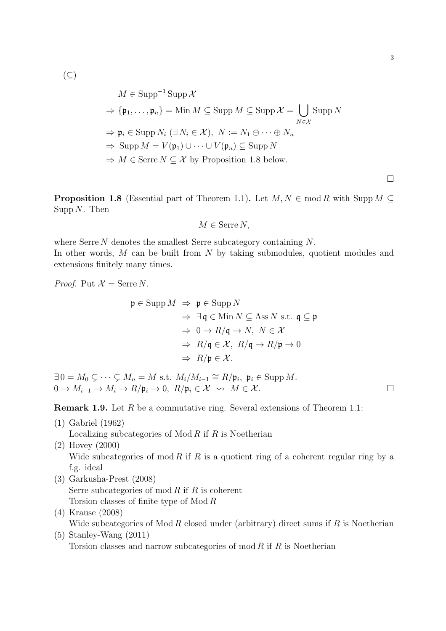(*⊆*)

$$
M \in \text{Supp}^{-1} \text{ Supp } \mathcal{X}
$$
  
\n
$$
\Rightarrow {\mathfrak{p}_1, \dots, \mathfrak{p}_n} = \text{Min } M \subseteq \text{Supp } M \subseteq \text{Supp } \mathcal{X} = \bigcup_{N \in \mathcal{X}} \text{Supp } N
$$
  
\n
$$
\Rightarrow \mathfrak{p}_i \in \text{Supp } N_i \ (\exists N_i \in \mathcal{X}), \ N := N_1 \oplus \dots \oplus N_n
$$
  
\n
$$
\Rightarrow \text{Supp } M = V(\mathfrak{p}_1) \cup \dots \cup V(\mathfrak{p}_n) \subseteq \text{Supp } N
$$
  
\n
$$
\Rightarrow M \in \text{Serre } N \subseteq \mathcal{X} \text{ by Proposition 1.8 below.}
$$

**Proposition 1.8** (Essential part of Theorem 1.1). Let  $M, N \in \text{mod } R$  with Supp  $M \subseteq$ Supp *N*. Then

$$
M \in \text{Serre } N,
$$

where Serre *N* denotes the smallest Serre subcategory containing *N*. In other words, *M* can be built from *N* by taking submodules, quotient modules and extensions finitely many times.

*Proof.* Put  $\mathcal{X} = \text{Serre } N$ .

$$
\mathfrak{p} \in \text{Supp } M \implies \mathfrak{p} \in \text{Supp } N
$$
  
\n
$$
\Rightarrow \exists \mathfrak{q} \in \text{Min } N \subseteq \text{Ass } N \text{ s.t. } \mathfrak{q} \subseteq \mathfrak{p}
$$
  
\n
$$
\Rightarrow 0 \to R/\mathfrak{q} \to N, N \in \mathcal{X}
$$
  
\n
$$
\Rightarrow R/\mathfrak{q} \in \mathcal{X}, R/\mathfrak{q} \to R/\mathfrak{p} \to 0
$$
  
\n
$$
\Rightarrow R/\mathfrak{p} \in \mathcal{X}.
$$

 $\exists 0 = M_0 \subsetneq \cdots \subsetneq M_n = M \text{ s.t. } M_i/M_{i-1} \cong R/\mathfrak{p}_i, \mathfrak{p}_i \in \text{Supp } M.$  $0 \to M_{i-1} \to M_i \to R/\mathfrak{p}_i \to 0, R/\mathfrak{p}_i \in \mathcal{X} \rightsquigarrow M \in \mathcal{X}$ .

**Remark 1.9.** Let R be a commutative ring. Several extensions of Theorem 1.1:

(1) Gabriel (1962)

Localizing subcategories of Mod *R* if *R* is Noetherian

- (2) Hovey (2000) Wide subcategories of mod *R* if *R* is a quotient ring of a coherent regular ring by a f.g. ideal
- (3) Garkusha-Prest (2008) Serre subcategories of mod *R* if *R* is coherent Torsion classes of finite type of Mod *R*
- (4) Krause (2008) Wide subcategories of Mod *R* closed under (arbitrary) direct sums if *R* is Noetherian
- (5) Stanley-Wang (2011) Torsion classes and narrow subcategories of mod *R* if *R* is Noetherian

□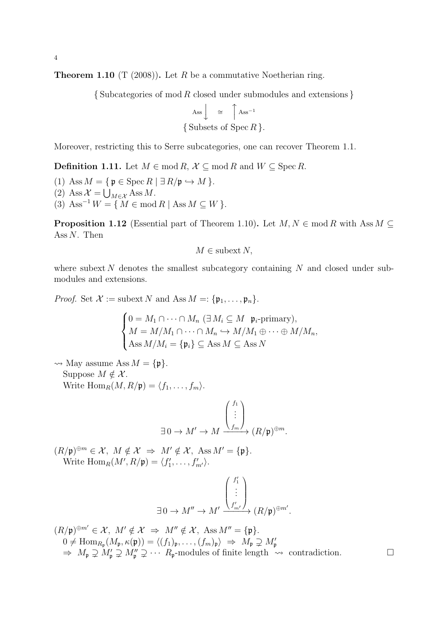**Theorem 1.10** (T (2008))**.** Let *R* be a commutative Noetherian ring.

*{* Subcategories of mod *R* closed under submodules and extensions *}*

$$
\begin{aligned}\n\text{Ass} \downarrow &\cong \left\{\begin{matrix} \text{Ass}^{-1} \\ \text{Subsets of } \text{Spec } R \end{matrix}\right\}.\n\end{aligned}
$$

Moreover, restricting this to Serre subcategories, one can recover Theorem 1.1.

**Definition 1.11.** Let *M* ∈ mod *R*,  $\mathcal{X} \subseteq \text{mod } R$  and  $W \subseteq \text{Spec } R$ .

 $(1)$  Ass  $M = \{ \mathfrak{p} \in \operatorname{Spec} R \mid \exists R/\mathfrak{p} \hookrightarrow M \}.$ 

- $(2)$  Ass  $\mathcal{X} = \bigcup_{M \in \mathcal{X}}$  Ass *M*.
- $(3)$  Ass<sup> $-1$ </sup>  $W = \{ M \in \text{mod } R \mid \text{Ass } M \subseteq W \}.$

**Proposition 1.12** (Essential part of Theorem 1.10). Let  $M, N \in \text{mod } R$  with Ass  $M \subseteq$ Ass *N*. Then

$$
M \in \text{subset } N,
$$

where subext N denotes the smallest subcategory containing N and closed under submodules and extensions.

*Proof.* Set  $\mathcal{X} := \text{subext } N$  and  $\text{Ass } M =: \{ \mathfrak{p}_1, \ldots, \mathfrak{p}_n \}.$ 

$$
\begin{cases}\n0 = M_1 \cap \cdots \cap M_n \ (\exists M_i \subseteq M \ \mathfrak{p}_i\text{-primary}), \\
M = M/M_1 \cap \cdots \cap M_n \hookrightarrow M/M_1 \oplus \cdots \oplus M/M_n, \\
\text{Ass } M/M_i = \{\mathfrak{p}_i\} \subseteq \text{Ass } M \subseteq \text{Ass } N\n\end{cases}
$$

 $\rightsquigarrow$  May assume Ass  $M = {\mathfrak{p}}$ . Suppose  $M \notin \mathcal{X}$ . Write  $\text{Hom}_R(M, R/\mathfrak{p}) = \langle f_1, \ldots, f_m \rangle$ .

$$
\exists 0 \to M' \to M \xrightarrow{\begin{pmatrix} f_1 \\ \vdots \\ f_m \end{pmatrix}} (R/\mathfrak{p})^{\oplus m}.
$$

 $(R/\mathfrak{p})^{\oplus m} \in \mathcal{X}, M \notin \mathcal{X} \Rightarrow M' \notin \mathcal{X}, \text{Ass } M' = {\mathfrak{p}}.$ Write  $\text{Hom}_R(M', R/\mathfrak{p}) = \langle f'_1, \ldots, f'_{m'} \rangle.$ 

$$
\exists 0 \to M'' \to M' \xrightarrow{\begin{pmatrix} f'_1 \\ \vdots \\ f'_{m'} \end{pmatrix}} (R/\mathfrak{p})^{\oplus m'}.
$$

$$
(R/\mathfrak{p})^{\oplus m'} \in \mathcal{X}, M' \notin \mathcal{X} \Rightarrow M'' \notin \mathcal{X}, \text{ Ass } M'' = {\mathfrak{p}}.
$$
  
\n
$$
0 \neq \text{Hom}_{R_{\mathfrak{p}}}(M_{\mathfrak{p}}, \kappa(\mathfrak{p})) = \langle (f_1)_{\mathfrak{p}}, \dots, (f_m)_{\mathfrak{p}} \rangle \Rightarrow M_{\mathfrak{p}} \supsetneq M'_{\mathfrak{p}}
$$
  
\n
$$
\Rightarrow M_{\mathfrak{p}} \supsetneq M'_{\mathfrak{p}} \supsetneq M''_{\mathfrak{p}} \supseteq \cdots R_{\mathfrak{p}}\text{-modules of finite length } \leadsto \text{ contradiction.}
$$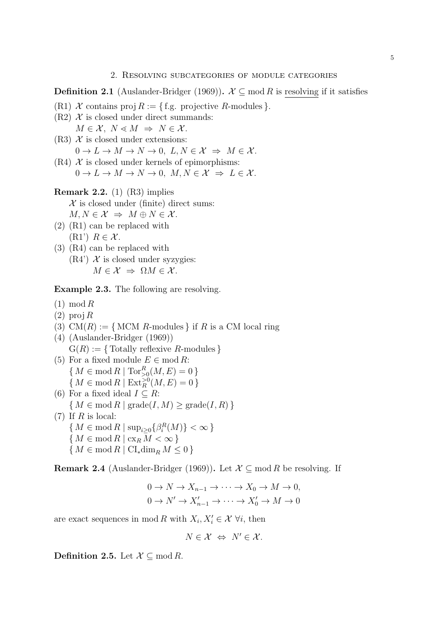### **Definition 2.1** (Auslander-Bridger (1969)).  $\mathcal{X} \subseteq \text{mod } R$  is resolving if it satisfies

- (R1) *X* contains proj  $R := \{ \text{ f.g. projective } R \text{-modules} \}.$
- $(R2)$   $\mathcal X$  is closed under direct summands:
- $M \in \mathcal{X}, N \leq M \Rightarrow N \in \mathcal{X}.$
- $(R3)$   $\mathcal X$  is closed under extensions:  $0 \to L \to M \to N \to 0$ ,  $L, N \in \mathcal{X} \Rightarrow M \in \mathcal{X}$ .
- $(R4)$  *X* is closed under kernels of epimorphisms:  $0 \to L \to M \to N \to 0$ ,  $M, N \in \mathcal{X} \Rightarrow L \in \mathcal{X}$ .
- **Remark 2.2.** (1) (R3) implies  $X$  is closed under (finite) direct sums:  $M, N \in \mathcal{X} \Rightarrow M \oplus N \in \mathcal{X}$ .
- (2) (R1) can be replaced with  $(R1')$   $R \in \mathcal{X}$ .
- (3) (R4) can be replaced with  $(R4')$  *X* is closed under syzygies:  $M \in \mathcal{X} \Rightarrow \Omega M \in \mathcal{X}$ .

**Example 2.3.** The following are resolving.

- (1) mod *R*
- (2) proj *R*
- (3)  $CM(R) := \{ MCM R\text{-modules } \}$  if R is a CM local ring
- (4) (Auslander-Bridger (1969))  $G(R) := \{ \text{Totally reflexive } R \text{-modules} \}$
- (5) For a fixed module  $E \in \text{mod } R$ :  ${M \in \text{mod } R \mid \text{Tor}_{>0}^R(M, E) = 0}$  ${M \in \text{mod } R \mid \text{Ext}_R^{>0}(M, E) = 0}$
- (6) For a fixed ideal  $I \subseteq R$ :  ${M \in \text{mod } R \mid \text{grade}(I, M) \geq \text{grade}(I, R)}$ (7) If *R* is local:  ${M \in \text{mod } R \mid \text{sup}_{i \geq 0} {\beta_i^R(M)} < \infty }$ *{ M ∈* mod *R |* cx*<sup>R</sup> M < ∞ } { M ∈* mod *R |* CI*∗*dim*<sup>R</sup> M ≤* 0 *}*

**Remark 2.4** (Auslander-Bridger (1969)). Let  $\mathcal{X} \subseteq \text{mod } R$  be resolving. If

$$
0 \to N \to X_{n-1} \to \cdots \to X_0 \to M \to 0,
$$
  

$$
0 \to N' \to X'_{n-1} \to \cdots \to X'_0 \to M \to 0
$$

are exact sequences in mod *R* with  $X_i, X'_i \in \mathcal{X}$   $\forall i$ , then

$$
N \in \mathcal{X} \Leftrightarrow N' \in \mathcal{X}.
$$

**Definition 2.5.** Let  $\mathcal{X} \subseteq \text{mod } R$ .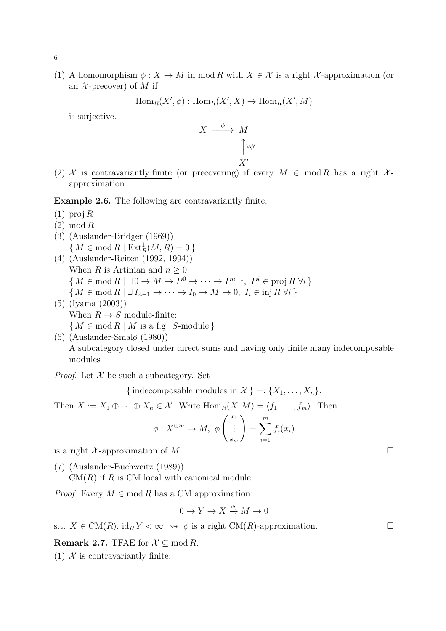(1) A homomorphism  $\phi: X \to M$  in mod R with  $X \in \mathcal{X}$  is a right  $\mathcal{X}$ -approximation (or an  $X$ -precover) of  $M$  if

$$
Hom_R(X', \phi) : Hom_R(X', X) \to Hom_R(X', M)
$$

is surjective.

$$
X \xrightarrow{\phi} M
$$

$$
\uparrow^{\forall \phi'}
$$

$$
X'
$$

(2)  $\mathcal{X}$  is contravariantly finite (or precovering) if every  $M \in \text{mod } R$  has a right  $\mathcal{X}$ approximation.

**Example 2.6.** The following are contravariantly finite.

- (1) proj *R*
- (2) mod *R*
- (3) (Auslander-Bridger (1969))  ${M \in \text{mod } R \mid \text{Ext}_{R}^{1}(M, R) = 0}$
- (4) (Auslander-Reiten (1992, 1994)) When *R* is Artinian and  $n \geq 0$ :  ${M \in \text{mod } R \mid \exists 0 \to M \to P^0 \to \cdots \to P^{n-1}, P^i \in \text{proj } R \; \forall i}$  ${M \in \text{mod } R \mid \exists I_{n-1} \to \cdots \to I_0 \to M \to 0, I_i \in \text{inj } R \,\forall i}$
- (5) (Iyama (2003)) When  $R \to S$  module-finite: *{ M ∈* mod *R | M* is a f.g. *S*-module *}*

(6) (Auslander-Smalø (1980)) A subcategory closed under direct sums and having only finite many indecomposable modules

*Proof.* Let  $X$  be such a subcategory. Set

{indecomposable modules in  $\mathcal{X}$  } =:  $\{X_1, \ldots, X_n\}$ *.* 

Then  $X := X_1 \oplus \cdots \oplus X_n \in \mathcal{X}$ . Write  $\text{Hom}_R(X, M) = \langle f_1, \ldots, f_m \rangle$ . Then

$$
\phi: X^{\oplus m} \to M, \phi\begin{pmatrix}x_1\\ \vdots\\ x_m\end{pmatrix} = \sum_{i=1}^m f_i(x_i)
$$

is a right  $\mathcal{X}$ -approximation of  $M$ .

(7) (Auslander-Buchweitz (1989))

CM(*R*) if *R* is CM local with canonical module

*Proof.* Every  $M \in \text{mod } R$  has a CM approximation:

$$
0 \to Y \to X \xrightarrow{\phi} M \to 0
$$

s.t.  $X \in CM(R)$ ,  $id_R Y < \infty \leadsto \phi$  is a right CM(*R*)-approximation.

**Remark 2.7.** TFAE for  $\mathcal{X} \subseteq \text{mod } R$ .

(1)  $X$  is contravariantly finite.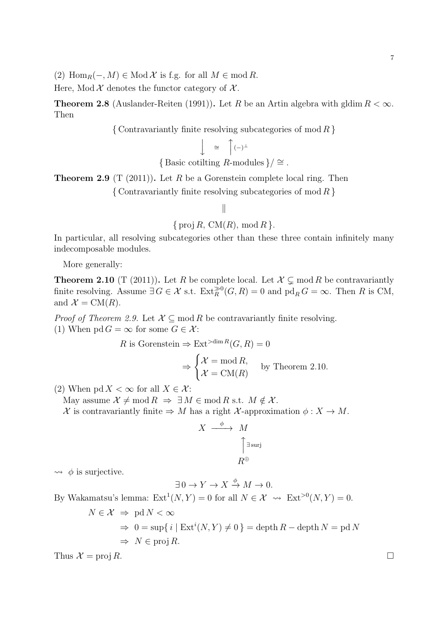(2) Hom<sub>*R*</sub>(−*, M*)  $\in$  Mod *X* is f.g. for all *M*  $\in$  mod *R*.

Here, Mod  $\mathcal X$  denotes the functor category of  $\mathcal X$ .

**Theorem 2.8** (Auslander-Reiten (1991)). Let *R* be an Artin algebra with gldim  $R < \infty$ . Then

*{* Contravariantly finite resolving subcategories of mod *R }*

$$
\begin{pmatrix} 0 & \Delta & 0 \\ 0 & \Delta & 0 \\ 0 & 0 & \Delta & 0 \end{pmatrix} (1 - \Delta)^{\Delta}
$$

{Basic cotilting *R*-modules}/ 
$$
\cong
$$
.

**Theorem 2.9** (T (2011))**.** Let *R* be a Gorenstein complete local ring. Then

*{* Contravariantly finite resolving subcategories of mod *R }*

## *∥*

*{* proj *R,* CM(*R*)*,* mod *R }.*

In particular, all resolving subcategories other than these three contain infinitely many indecomposable modules.

More generally:

**Theorem 2.10** (T (2011)). Let *R* be complete local. Let  $\mathcal{X} \subsetneq \text{mod } R$  be contravariantly finite resolving. Assume  $\exists G \in \mathcal{X}$  s.t.  $\text{Ext}_{R}^{\gg 0}(G, R) = 0$  and  $\text{pd}_{R} G = \infty$ . Then R is CM, and  $\mathcal{X} = \text{CM}(R)$ .

*Proof of Theorem 2.9.* Let  $\mathcal{X} \subseteq \text{mod } R$  be contravariantly finite resolving. (1) When  $\text{pd } G = \infty$  for some  $G \in \mathcal{X}$ :

$$
R \text{ is Gorenstein} \Rightarrow \text{Ext}^{>dim R}(G, R) = 0
$$

$$
\Rightarrow \begin{cases} \mathcal{X} = \text{mod } R, \\ \mathcal{X} = \text{CM}(R) \end{cases} \text{ by Theorem 2.10.}
$$

(2) When  $\text{pd } X < \infty$  for all  $X \in \mathcal{X}$ :

May assume  $\mathcal{X} \neq \text{mod } R \Rightarrow \exists M \in \text{mod } R \text{ s.t. } M \notin \mathcal{X}$ .

*X* is contravariantly finite  $\Rightarrow$  *M* has a right *X*-approximation  $\phi : X \to M$ .

$$
X \xrightarrow{\phi} M
$$

$$
\uparrow \exists \text{surj}
$$

$$
R^{\oplus}
$$

 $\rightarrow \phi$  is surjective.

$$
\exists 0 \to Y \to X \xrightarrow{\phi} M \to 0.
$$

By Wakamatsu's lemma:  $\text{Ext}^1(N, Y) = 0$  for all  $N \in \mathcal{X} \rightsquigarrow \text{Ext}^{>0}(N, Y) = 0$ .

$$
N \in \mathcal{X} \implies \text{pd } N < \infty
$$
\n
$$
\implies 0 = \sup\{i \mid \text{Ext}^i(N, Y) \neq 0\} = \text{depth } R - \text{depth } N = \text{pd } N
$$
\n
$$
\implies N \in \text{proj } R.
$$

Thus  $\mathcal{X} = \text{proj } R$ .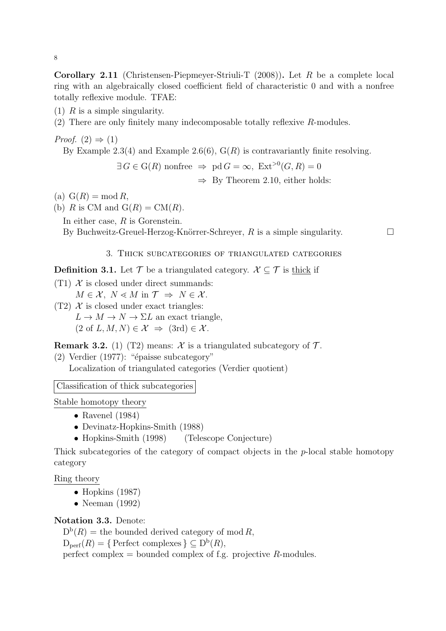**Corollary 2.11** (Christensen-Piepmeyer-Striuli-T (2008))**.** Let *R* be a complete local ring with an algebraically closed coefficient field of characteristic 0 and with a nonfree totally reflexive module. TFAE:

(1) *R* is a simple singularity.

(2) There are only finitely many indecomposable totally reflexive *R*-modules.

*Proof.*  $(2) \Rightarrow (1)$ By Example 2.3(4) and Example 2.6(6), G(*R*) is contravariantly finite resolving.

 $\exists G \in \mathcal{G}(R)$  nonfree  $\Rightarrow$  pd  $G = \infty$ ,  $\text{Ext}^{>0}(G, R) = 0$ *⇒* By Theorem 2.10, either holds:

(a)  $G(R) = \text{mod } R$ ,

(b) *R* is CM and  $G(R) = CM(R)$ .

In either case, *R* is Gorenstein.

By Buchweitz-Greuel-Herzog-Knörrer-Schreyer,  $R$  is a simple singularity.  $\Box$ 

### 3. Thick subcategories of triangulated categories

**Definition 3.1.** Let  $\mathcal{T}$  be a triangulated category.  $\mathcal{X} \subseteq \mathcal{T}$  is thick if

 $(T1)$   $X$  is closed under direct summands:  $M \in \mathcal{X}, N \leq M$  in  $\mathcal{T} \Rightarrow N \in \mathcal{X}$ .

 $(T2)$   $\mathcal X$  is closed under exact triangles:  $L \rightarrow M \rightarrow N \rightarrow \Sigma L$  an exact triangle,  $(2 \text{ of } L, M, N) \in \mathcal{X} \Rightarrow (3 \text{rd}) \in \mathcal{X}$ .

**Remark 3.2.** (1) (T2) means:  $\mathcal{X}$  is a triangulated subcategory of  $\mathcal{T}$ .

 $(2)$  Verdier  $(1977)$ : "épaisse subcategory" Localization of triangulated categories (Verdier quotient)

Classification of thick subcategories

Stable homotopy theory

- *•* Ravenel (1984)
- *•* Devinatz-Hopkins-Smith (1988)
- Hopkins-Smith (1998) (Telescope Conjecture)

Thick subcategories of the category of compact objects in the *p*-local stable homotopy category

Ring theory

- *•* Hopkins (1987)
- *•* Neeman (1992)

## **Notation 3.3.** Denote:

 $D^{b}(R)$  = the bounded derived category of mod *R*,

 $D_{\text{perf}}(R) = \{ \text{Perfect complexes} \} \subseteq D^b(R),$ 

perfect complex = bounded complex of f.g. projective *R*-modules.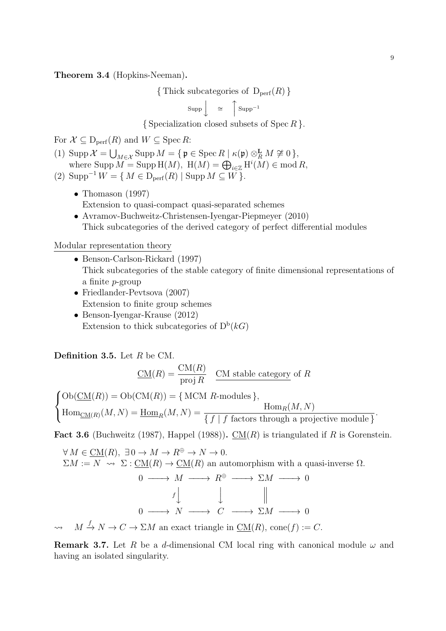**Theorem 3.4** (Hopkins-Neeman)**.**

 $\{$  Thick subcategories of  $D_{\text{perf}}(R)$   $\}$ 

$$
Supp \left\downarrow \quad \cong \quad \left\uparrow \text{Supp}^{-1} \right\downarrow
$$

*{* Specialization closed subsets of Spec *R }.*

For  $\mathcal{X} \subseteq D_{\text{perf}}(R)$  and  $W \subseteq \text{Spec } R$ :

- (1) Supp  $\mathcal{X} = \bigcup_{M \in \mathcal{X}} \text{Supp } M = \{ \mathfrak{p} \in \text{Spec } R \mid \kappa(\mathfrak{p}) \otimes_M^{\mathbf{L}} M \not\cong 0 \},$ where  $\text{Supp } M = \text{Supp } H(M)$ ,  $H(M) = \bigoplus_{i \in \mathbb{Z}} H^i(M) \in \text{mod } R$ ,
- (2)  $\text{Supp}^{-1} W = \{ M \in D_{\text{perf}}(R) | \text{Supp } M \subseteq W \}.$ 
	- *•* Thomason (1997) Extension to quasi-compact quasi-separated schemes
	- *•* Avramov-Buchweitz-Christensen-Iyengar-Piepmeyer (2010) Thick subcategories of the derived category of perfect differential modules

Modular representation theory

- *•* Benson-Carlson-Rickard (1997) Thick subcategories of the stable category of finite dimensional representations of a finite *p*-group
- *•* Friedlander-Pevtsova (2007) Extension to finite group schemes
- *•* Benson-Iyengar-Krause (2012) Extension to thick subcategories of  $D^b(k)$

**Definition 3.5.** Let *R* be CM.

$$
\underline{\text{CM}}(R) = \frac{\text{CM}(R)}{\text{proj }R} \quad \underline{\text{CM stable category of } R}
$$

 $\sqrt{ }$  $\frac{1}{2}$  $\mathbf{I}$  $Ob(\underline{CM}(R)) = Ob(\underline{CM}(R)) = \{ MCM R$ -modules  $\},\$  $\text{Hom}_{\text{CM}(R)}(M, N) = \text{Hom}_{R}(M, N) = \frac{\text{Hom}_{R}(M, N)}{\{f \mid f \text{ factors through a projective module }\}}$ *.*

**Fact 3.6** (Buchweitz (1987), Happel (1988)).  $\underline{CM}(R)$  is triangulated if R is Gorenstein.

$$
\forall M \in \underline{\text{CM}}(R), \exists 0 \to M \to R^{\oplus} \to N \to 0.
$$
  
\n
$$
\Sigma M := N \rightsquigarrow \Sigma : \underline{\text{CM}}(R) \to \underline{\text{CM}}(R) \text{ an automorphism with a quasi-inverse } \Omega.
$$
  
\n
$$
0 \longrightarrow M \longrightarrow R^{\oplus} \longrightarrow \Sigma M \longrightarrow 0
$$
  
\n
$$
f \downarrow \qquad \qquad \parallel
$$
  
\n
$$
0 \longrightarrow N \longrightarrow C \longrightarrow \Sigma M \longrightarrow 0
$$
  
\n
$$
\rightsquigarrow M \xrightarrow{f} N \to C \to \Sigma M \text{ an exact triangle in } \underline{\text{CM}}(R), \text{ cone}(f) := C.
$$

**Remark 3.7.** Let *R* be a *d*-dimensional CM local ring with canonical module  $\omega$  and having an isolated singularity.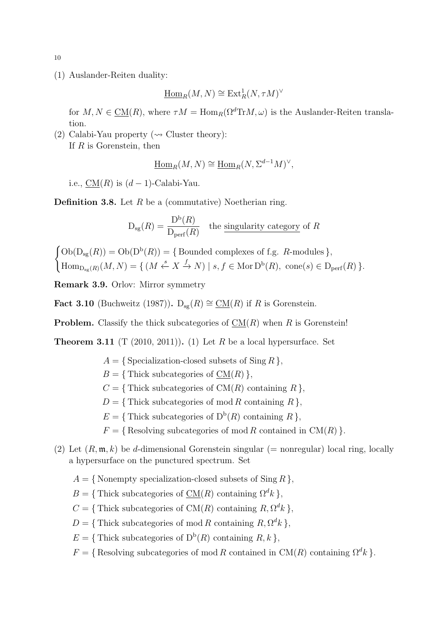(1) Auslander-Reiten duality:

$$
\underline{\operatorname{Hom}}_R(M,N)\cong\operatorname{Ext}^1_R(N,\tau M)^\vee
$$

for  $M, N \in CM(R)$ , where  $\tau M = \text{Hom}_R(\Omega^d \text{Tr} M, \omega)$  is the Auslander-Reiten translation.

(2) Calabi-Yau property ( $\rightsquigarrow$  Cluster theory): If *R* is Gorenstein, then

$$
\underline{\operatorname{Hom}}_R(M, N) \cong \underline{\operatorname{Hom}}_R(N, \Sigma^{d-1} M)^\vee,
$$

i.e.,  $CM(R)$  is  $(d-1)$ -Calabi-Yau.

**Definition 3.8.** Let *R* be a (commutative) Noetherian ring.

$$
D_{sg}(R) = \frac{D^{b}(R)}{D_{\text{perf}}(R)}
$$
 the singularity category of R

 ${\rm Ob}(\mathcal{D}_{\text{sg}}(R)) = {\rm Ob}(\mathcal{D}^{\text{b}}(R)) = {\rm Bounded~complexes~of~f.g.~R{\rm -modules}}$  $\text{Hom}_{\text{D}_{\text{sg}}(R)}(M, N) = \{ (M \stackrel{s}{\leftarrow} X \stackrel{f}{\rightarrow} N) \mid s, f \in \text{Mor } \text{D}^{\text{b}}(R), \text{ cone}(s) \in \text{D}_{\text{perf}}(R) \}.$ 

**Remark 3.9.** Orlov: Mirror symmetry

**Fact 3.10** (Buchweitz (1987)). D<sub>sg</sub> $(R) \cong \underline{CM}(R)$  if *R* is Gorenstein.

**Problem.** Classify the thick subcategories of CM(*R*) when *R* is Gorenstein!

**Theorem 3.11** (T (2010, 2011)). (1) Let  $R$  be a local hypersurface. Set

- $A = \{$  Specialization-closed subsets of Sing  $R \}$ ,
- $B = \{$  Thick subcategories of  $CM(R)$ }
- $C = \{$  Thick subcategories of  $CM(R)$  containing  $R$ ,
- $D = \{$  Thick subcategories of mod *R* containing *R* $}$ ,
- $E = \{$  Thick subcategories of  $D^b(R)$  containing  $R$  }
- $F = \{$  Resolving subcategories of mod *R* contained in CM(*R*)  $\}$ *.*
- (2) Let  $(R, \mathfrak{m}, k)$  be *d*-dimensional Gorenstein singular (= nonregular) local ring, locally a hypersurface on the punctured spectrum. Set
	- $A = \{$  Nonempty specialization-closed subsets of Sing  $R$ ,
	- $B = \{$  Thick subcategories of  $\underline{CM}(R)$  containing  $\Omega^d k$  }
	- $C = \{$  Thick subcategories of  $CM(R)$  containing  $R, \Omega^d k$ ,
	- $D = \{$  Thick subcategories of mod *R* containing  $R, \Omega^d k$  }
	- $E = \{$  Thick subcategories of  $D^b(R)$  containing  $R, k$  }
	- $F = \{$  Resolving subcategories of mod *R* contained in CM(*R*) containing  $\Omega^d k$ .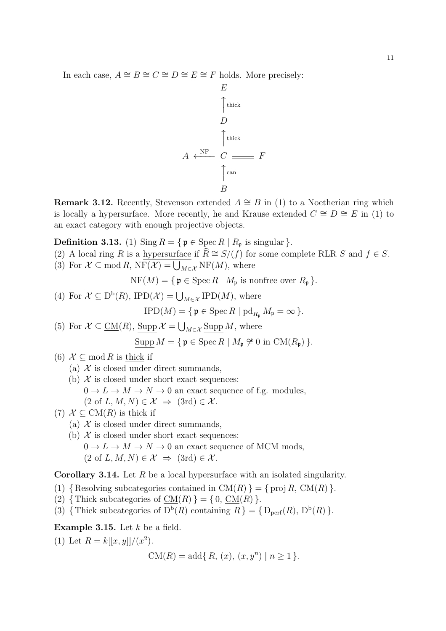In each case,  $A \cong B \cong C \cong D \cong E \cong F$  holds. More precisely:

$$
A \leftarrow^{NF} C \longrightarrow F
$$
\n
$$
\uparrow^{\text{thick}}
$$
\n
$$
A \leftarrow^{NF} C \longrightarrow F
$$
\n
$$
\uparrow^{\text{can}} C
$$
\n
$$
B
$$

*E*

**Remark 3.12.** Recently, Stevenson extended  $A \cong B$  in (1) to a Noetherian ring which is locally a hypersurface. More recently, he and Krause extended  $C \cong D \cong E$  in (1) to an exact category with enough projective objects.

**Definition 3.13.** (1) Sing  $R = \{ \mathfrak{p} \in \text{Spec } R \mid R_{\mathfrak{p}} \text{ is singular} \}.$ 

- (2) A local ring *R* is a hypersurface if  $\widehat{R} \cong S/(f)$  for some complete RLR *S* and  $f \in S$ .
- (3) For  $\mathcal{X} \subseteq \text{mod } R$ ,  $N\overline{F}(\mathcal{X}) = \bigcup_{M \in \mathcal{X}} N\overline{F}(M)$ , where

 $NF(M) = \{ \mathfrak{p} \in \operatorname{Spec} R \mid M_{\mathfrak{p}} \text{ is nonfree over } R_{\mathfrak{p}} \}.$ 

- (4) For  $\mathcal{X} \subseteq D^b(R)$ , IPD $(\mathcal{X}) = \bigcup_{M \in \mathcal{X}} IPD(M)$ , where  $IPD(M) = \{ \mathfrak{p} \in \operatorname{Spec} R \mid \operatorname{pd}_{R_{\mathfrak{p}}} M_{\mathfrak{p}} = \infty \}.$
- (5) For  $\mathcal{X} \subseteq \underline{\text{CM}}(R)$ ,  $\underline{\text{Supp}} \mathcal{X} = \bigcup_{M \in \mathcal{X}} \underline{\text{Supp}} M$ , where  $\text{Supp } M = \{ \mathfrak{p} \in \text{Spec } R \mid M_{\mathfrak{p}} \not\cong 0 \text{ in } \mathcal{CM}(R_{\mathfrak{p}}) \}.$
- (6)  $\mathcal{X} \subseteq \text{mod } R$  is thick if
	- (a)  $X$  is closed under direct summands,
	- (b)  $\mathcal{X}$  is closed under short exact sequences:
		- $0 \to L \to M \to N \to 0$  an exact sequence of f.g. modules,

$$
(2 \text{ of } L, M, N) \in \mathcal{X} \implies (3rd) \in \mathcal{X}.
$$

(7) 
$$
\mathcal{X} \subseteq \text{CM}(R)
$$
 is thick if

- (a)  $X$  is closed under direct summands,
- (b)  $X$  is closed under short exact sequences:  $0 \to L \to M \to N \to 0$  an exact sequence of MCM mods,  $(2 \text{ of } L, M, N) \in \mathcal{X} \Rightarrow (3 \text{rd}) \in \mathcal{X}$ .

**Corollary 3.14.** Let *R* be a local hypersurface with an isolated singularity.

- (1)  ${Resolving subcategories contained in CM(R)} = {proj R, CM(R)}.$
- (2)  $\{ \text{Thick subcategories of CM}(R) \} = \{ 0, \text{CM}(R) \}.$
- (3) { Thick subcategories of  $D^b(R)$  containing  $R$ } = {  $D_{\text{perf}}(R)$ ,  $D^b(R)$  }.

**Example 3.15.** Let *k* be a field.

(1) Let  $R = k[[x, y]]/(x^2)$ .  $CM(R) = \text{add}\lbrace R, (x), (x, y^n) \mid n \geq 1 \rbrace.$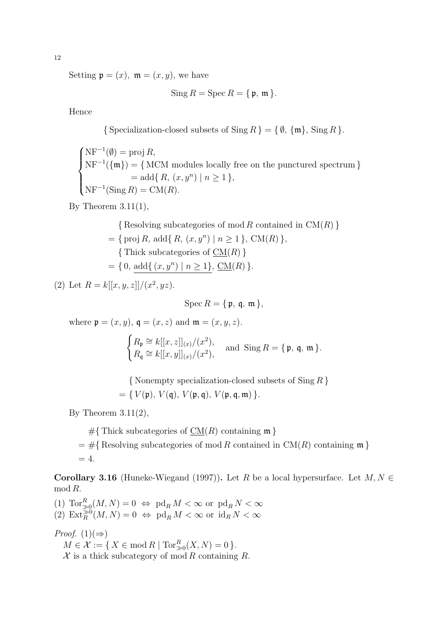Setting  $\mathfrak{p} = (x)$ ,  $\mathfrak{m} = (x, y)$ , we have

 $\text{Sing } R = \text{Spec } R = \{ \mathfrak{p}, \mathfrak{m} \}.$ 

Hence

*{* Specialization-closed subsets of Sing *R }* = *{ ∅, {*m*},* Sing *R }.*

 $\sqrt{ }$  $\int$  $\overline{\mathcal{L}}$ NF*−*<sup>1</sup> (*∅*) = proj *R,* NF*−*<sup>1</sup> (*{*m*}*) = *{* MCM modules locally free on the punctured spectrum *}*  $=$  add $\{R, (x, y^n) \mid n \geq 1\}$  $NF^{-1}(\text{Sing } R) = \text{CM}(R)$ .

By Theorem  $3.11(1)$ ,

*{* Resolving subcategories of mod *R* contained in CM(*R*) *}*  $= \{ \text{proj } R, \text{ add } \{ R, (x, y^n) \mid n \ge 1 \}, \text{CM}(R) \},$ *{* Thick subcategories of CM(*R*) *}*  $= \{ 0, \text{add}\{(x, y^n) \mid n \geq 1\}, \underline{\text{CM}}(R)\}.$ 

(2) Let  $R = k[[x, y, z]]/(x^2, yz)$ .

 $\text{Spec } R = \{ \mathfrak{p}, \mathfrak{a}, \mathfrak{m} \},$ 

where  $\mathfrak{p} = (x, y), \mathfrak{q} = (x, z)$  and  $\mathfrak{m} = (x, y, z)$ .

$$
\begin{cases} R_{\mathfrak{p}} \cong k[[x, z]]_{(x)}/(x^2), \\ R_{\mathfrak{q}} \cong k[[x, y]]_{(x)}/(x^2), \end{cases} \text{ and } \text{Sing } R = \{ \mathfrak{p}, \mathfrak{q}, \mathfrak{m} \}.
$$

*{* Nonempty specialization-closed subsets of Sing *R }*  $= \{ V(\mathfrak{p}), V(\mathfrak{q}), V(\mathfrak{p}, \mathfrak{q}), V(\mathfrak{p}, \mathfrak{q}, \mathfrak{m}) \}.$ 

By Theorem  $3.11(2)$ ,

 $#$ {Thick subcategories of  $CM(R)$  containing m }  $=$  #{Resolving subcategories of mod *R* contained in CM(*R*) containing m  $}$  $= 4.$ 

**Corollary 3.16** (Huneke-Wiegand (1997)). Let *R* be a local hypersurface. Let  $M, N \in$ mod *R*.

 $(1)$   $\operatorname{Tor}_{\geqslant 0}^R(M,N) = 0 \Leftrightarrow \operatorname{pd}_R M < \infty$  or  $\operatorname{pd}_R N < \infty$  $P(A) \operatorname{Ext}_{R}^{\geq 0}(M, N) = 0 \Leftrightarrow \operatorname{pd}_{R} M < \infty$  or  $\operatorname{id}_{R} M < \infty$ 

*Proof.*  $(1)(\Rightarrow)$ 

 $M \in \mathcal{X} := \{ X \in \text{mod } R \mid \text{Tor}_{\geqslant 0}^R(X, N) = 0 \}.$ 

*X* is a thick subcategory of mod *R* containing *R*.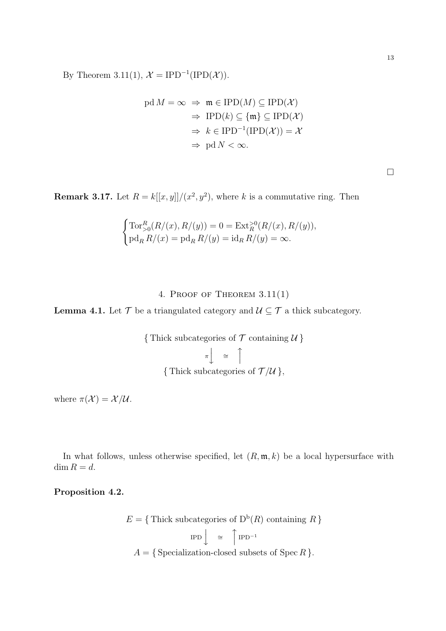By Theorem 3.11(1),  $\mathcal{X} = \text{IPD}^{-1}(\text{IPD}(\mathcal{X})).$ 

$$
pd M = \infty \implies m \in IPD(M) \subseteq IPD(\mathcal{X})
$$

$$
\implies IPD(k) \subseteq \{m\} \subseteq IPD(\mathcal{X})
$$

$$
\implies k \in IPD^{-1}(IPD(\mathcal{X})) = \mathcal{X}
$$

$$
\implies pd N < \infty.
$$

**Remark 3.17.** Let  $R = k[[x, y]]/(x^2, y^2)$ , where *k* is a commutative ring. Then

$$
\begin{cases}\n\operatorname{Tor}_{>0}^R(R/(x), R/(y)) = 0 = \operatorname{Ext}_{R}^{>0}(R/(x), R/(y)), \\
\operatorname{pd}_R R/(x) = \operatorname{pd}_R R/(y) = \operatorname{id}_R R/(y) = \infty.\n\end{cases}
$$

# 4. Proof of Theorem 3.11(1)

**Lemma 4.1.** Let  $\mathcal{T}$  be a triangulated category and  $\mathcal{U} \subseteq \mathcal{T}$  a thick subcategory.

{Thick subcategories of 
$$
\mathcal{T}
$$
 containing  $\mathcal{U}$ }  
\n
$$
\pi \downarrow \cong \uparrow
$$
\n{Thick subcategories of  $\mathcal{T}/\mathcal{U}$ },

where  $\pi(\mathcal{X}) = \mathcal{X}/\mathcal{U}$ .

In what follows, unless otherwise specified, let (*R,* m*, k*) be a local hypersurface with dim  $R = d$ .

**Proposition 4.2.**

$$
E = \{ \text{Thick subcategories of } D^b(R) \text{ containing } R \}
$$

$$
IPD \downarrow \cong \text{ } \uparrow IPD^{-1}
$$

$$
A = \{ \text{Specialization-closed subsets of } Spec R \}.
$$

□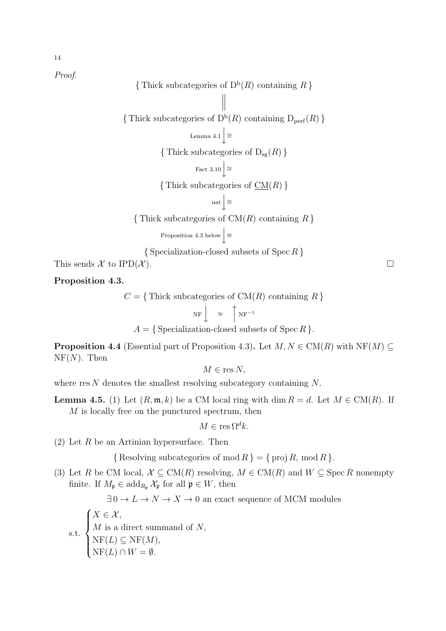*Proof.*

{Thick subcategories of  $D^b(R)$  containing *R* }  $\parallel$  $\parallel$  $\parallel$ {Thick subcategories of  $D^b(R)$  containing  $D_{\text{perf}}(R)$  } Lemma 4.1  $\downarrow$  <sup> $\cong$ </sup>  $\{$  Thick subcategories of  $D_{sg}(R)$   $\}$ Fact  $3.10 \downarrow$ <sup> $\cong$ </sup> *{* Thick subcategories of CM(*R*) *}* nat  $\int$  ≅ *{* Thick subcategories of CM(*R*) containing *R }* Proposition 4.3 below  $\downarrow$  ≅ *{* Specialization-closed subsets of Spec *R }* This sends  $\mathcal X$  to IPD( $\mathcal X$ ).

**Proposition 4.3.**

 $C = \{$  Thick subcategories of  $CM(R)$  containing  $R$   $\}$ 

NF y *<sup>∼</sup>*<sup>=</sup> x NF*−*<sup>1</sup>  $A = \{$  Specialization-closed subsets of Spec  $R$   $\}.$ 

**Proposition 4.4** (Essential part of Proposition 4.3). Let  $M, N \in CM(R)$  with NF( $M$ )  $\subseteq$  $NF(N)$ . Then

$$
M \in \text{res } N,
$$

where res *N* denotes the smallest resolving subcategory containing *N*.

**Lemma 4.5.** (1) Let  $(R, \mathfrak{m}, k)$  be a CM local ring with dim  $R = d$ . Let  $M \in CM(R)$ . If *M* is locally free on the punctured spectrum, then

 $M \in \text{res } \Omega^d k.$ 

(2) Let *R* be an Artinian hypersurface. Then

 ${$ Resolving subcategories of mod  $R$ } = { proj  $R$ , mod  $R$ }*.* 

(3) Let *R* be CM local,  $\mathcal{X} \subseteq \text{CM}(R)$  resolving,  $M \in \text{CM}(R)$  and  $W \subseteq \text{Spec } R$  nonempty finite. If  $M_{\mathfrak{p}} \in \text{add}_{R_{\mathfrak{p}}}$   $\mathcal{X}_{\mathfrak{p}}$  for all  $\mathfrak{p} \in W$ , then

 $\exists 0 \rightarrow L \rightarrow N \rightarrow X \rightarrow 0$  an exact sequence of MCM modules

s.t.  $\sqrt{ }$  $\Big\}$  $\overline{\mathcal{L}}$  $X \in \mathcal{X}$ *, M* is a direct summand of *N,*  $NF(L) \subseteq NF(M)$ ,  $NF(L) \cap W = \emptyset$ .